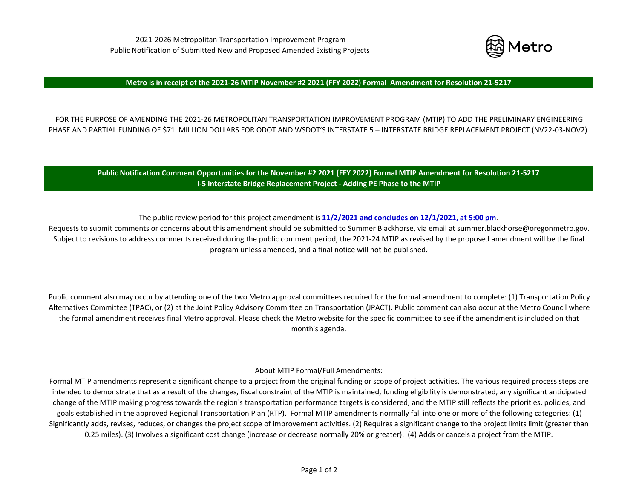

#### Metro is in receipt of the 2021-26 MTIP November #2 2021 (FFY 2022) Formal Amendment for Resolution 21-5217

FOR THE PURPOSE OF AMENDING THE 2021‐26 METROPOLITAN TRANSPORTATION IMPROVEMENT PROGRAM (MTIP) TO ADD THE PRELIMINARY ENGINEERING PHASE AND PARTIAL FUNDING OF \$71 MILLION DOLLARS FOR ODOT AND WSDOT'S INTERSTATE 5 – INTERSTATE BRIDGE REPLACEMENT PROJECT (NV22‐03‐NOV2)

Public Notification Comment Opportunities for the November #2 2021 (FFY 2022) Formal MTIP Amendment for Resolution 21-5217 **I‐5 Interstate Bridge Replacement Project ‐ Adding PE Phase to the MTIP**

The public review period for this project amendment is **11/2/2021 and concludes on 12/1/2021, at 5:00 pm**.

Requests to submit comments or concerns about this amendment should be submitted to Summer Blackhorse, via email at summer.blackhorse@oregonmetro.gov. Subject to revisions to address comments received during the public comment period, the 2021-24 MTIP as revised by the proposed amendment will be the final program unless amended, and <sup>a</sup> final notice will not be published.

Public comment also may occur by attending one of the two Metro approval committees required for the formal amendment to complete: (1) Transportation Policy Alternatives Committee (TPAC), or (2) at the Joint Policy Advisory Committee on Transportation (JPACT). Public comment can also occur at the Metro Council where the formal amendment receives final Metro approval. Please check the Metro website for the specific committee to see if the amendment is included on that month's agenda.

About MTIP Formal/Full Amendments:

Formal MTIP amendments represent <sup>a</sup> significant change to <sup>a</sup> project from the original funding or scope of project activities. The various required process steps are intended to demonstrate that as <sup>a</sup> result of the changes, fiscal constraint of the MTIP is maintained, funding eligibility is demonstrated, any significant anticipated change of the MTIP making progress towards the region's transportation performance targets is considered, and the MTIP still reflects the priorities, policies, and goals established in the approved Regional Transportation Plan (RTP). Formal MTIP amendments normally fall into one or more of the following categories: (1) Significantly adds, revises, reduces, or changes the project scope of improvement activities. (2) Requires <sup>a</sup> significant change to the project limits limit (greater than 0.25 miles). (3) Involves <sup>a</sup> significant cost change (increase or decrease normally 20% or greater). (4) Adds or cancels <sup>a</sup> project from the MTIP.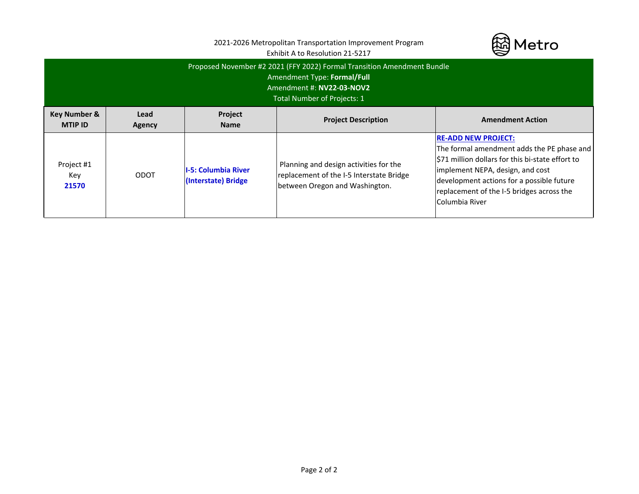|                                                                                                                                                                    |                | 2021-2026 Metropolitan Transportation Improvement Program<br>Exhibit A to Resolution 21-5217 | Metro                                                                                                                |                                                                                                                                                                                                                                                                             |  |  |  |  |
|--------------------------------------------------------------------------------------------------------------------------------------------------------------------|----------------|----------------------------------------------------------------------------------------------|----------------------------------------------------------------------------------------------------------------------|-----------------------------------------------------------------------------------------------------------------------------------------------------------------------------------------------------------------------------------------------------------------------------|--|--|--|--|
| Proposed November #2 2021 (FFY 2022) Formal Transition Amendment Bundle<br>Amendment Type: Formal/Full<br>Amendment #: NV22-03-NOV2<br>Total Number of Projects: 1 |                |                                                                                              |                                                                                                                      |                                                                                                                                                                                                                                                                             |  |  |  |  |
| <b>Key Number &amp;</b><br><b>MTIP ID</b>                                                                                                                          | Lead<br>Agency | <b>Project</b><br><b>Name</b>                                                                | <b>Project Description</b>                                                                                           | <b>Amendment Action</b>                                                                                                                                                                                                                                                     |  |  |  |  |
| Project #1<br>Key<br>21570                                                                                                                                         | <b>ODOT</b>    | <b>I-5: Columbia River</b><br>(Interstate) Bridge                                            | Planning and design activities for the<br>replacement of the I-5 Interstate Bridge<br>between Oregon and Washington. | <b>RE-ADD NEW PROJECT:</b><br>The formal amendment adds the PE phase and<br>S71 million dollars for this bi-state effort to<br>implement NEPA, design, and cost<br>development actions for a possible future<br>replacement of the I-5 bridges across the<br>Columbia River |  |  |  |  |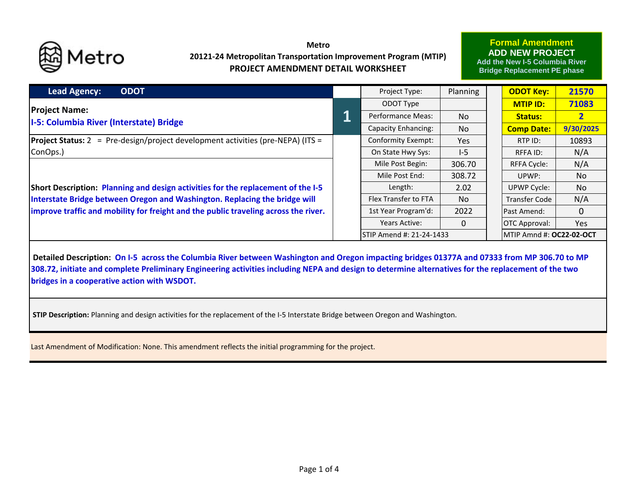

# **Metro20121‐24 Metropolitan Transportation Improvement Program (MTIP) PROJECT AMENDMENT DETAIL WORKSHEET**

## **Formal Amendment ADD NEW PROJECT**

**Add the New I-5 Columbia River Bridge Replacement PE phase**

| <b>Lead Agency:</b><br><b>ODOT</b>                                                     |  | Project Type:                   | Planning |  | <b>ODOT Key:</b>          | 21570          |  |
|----------------------------------------------------------------------------------------|--|---------------------------------|----------|--|---------------------------|----------------|--|
| <b>Project Name:</b>                                                                   |  | ODOT Type                       |          |  | MTIP ID:                  | 71083          |  |
| <b>I-5: Columbia River (Interstate) Bridge</b>                                         |  | <b>Performance Meas:</b>        | No.      |  | <b>Status:</b>            | $\overline{2}$ |  |
|                                                                                        |  | Capacity Enhancing:             | No.      |  | <b>Comp Date:</b>         | 9/30/2025      |  |
| <b>Project Status:</b> 2 = Pre-design/project development activities (pre-NEPA) (ITS = |  | <b>Conformity Exempt:</b>       | Yes      |  | RTP ID:                   | 10893          |  |
| ConOps.)                                                                               |  | On State Hwy Sys:               | $I-5$    |  | <b>RFFAID:</b>            | N/A            |  |
|                                                                                        |  | Mile Post Begin:                | 306.70   |  | <b>RFFA Cycle:</b>        | N/A            |  |
|                                                                                        |  | Mile Post End:                  | 308.72   |  | UPWP:                     | No             |  |
| Short Description: Planning and design activities for the replacement of the I-5       |  | Length:                         | 2.02     |  | <b>UPWP Cycle:</b>        | <b>No</b>      |  |
| Interstate Bridge between Oregon and Washington. Replacing the bridge will             |  | <b>Flex Transfer to FTA</b>     | No.      |  | <b>Transfer Code</b>      | N/A            |  |
| improve traffic and mobility for freight and the public traveling across the river.    |  | 1st Year Program'd:             | 2022     |  | Past Amend:               | $\Omega$       |  |
|                                                                                        |  | <b>Years Active:</b>            | $\Omega$ |  | <b>OTC Approval:</b>      | Yes            |  |
|                                                                                        |  | <b>STIP Amend #: 21-24-1433</b> |          |  | IMTIP Amnd #: OC22-02-OCT |                |  |

Detailed Description: On I-5 across the Columbia River between Washington and Oregon impacting bridges 01377A and 07333 from MP 306.70 to MP 308.72, initiate and complete Preliminary Engineering activities including NEPA and design to determine alternatives for the replacement of the two **bridges in <sup>a</sup> cooperative action with WSDOT.**

**STIP Description:** Planning and design activities for the replacement of the I‐5 Interstate Bridge between Oregon and Washington.

Last Amendment of Modification: None. This amendment reflects the initial programming for the project.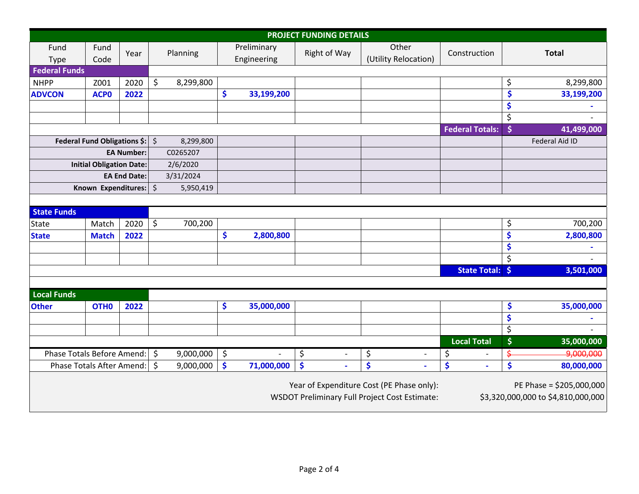| <b>PROJECT FUNDING DETAILS</b>             |                  |         |           |           |                            |                      |                                |                                                                                                   |                        |                |                                                                |
|--------------------------------------------|------------------|---------|-----------|-----------|----------------------------|----------------------|--------------------------------|---------------------------------------------------------------------------------------------------|------------------------|----------------|----------------------------------------------------------------|
| Fund<br>Type                               | Fund<br>Code     | Year    |           | Planning  | Preliminary<br>Engineering |                      | Right of Way                   | Other<br>(Utility Relocation)                                                                     | Construction           | <b>Total</b>   |                                                                |
| <b>Federal Funds</b>                       |                  |         |           |           |                            |                      |                                |                                                                                                   |                        |                |                                                                |
| <b>NHPP</b>                                | Z001             | 2020    | \$        | 8,299,800 |                            |                      |                                |                                                                                                   |                        | \$             | 8,299,800                                                      |
| <b>ADVCON</b>                              | <b>ACPO</b>      | 2022    |           |           | \$                         | 33,199,200           |                                |                                                                                                   |                        | \$             | 33,199,200                                                     |
|                                            |                  |         |           |           |                            |                      |                                |                                                                                                   |                        | \$             |                                                                |
|                                            |                  |         |           |           |                            |                      |                                |                                                                                                   |                        | \$             |                                                                |
|                                            |                  |         |           |           |                            |                      |                                |                                                                                                   | <b>Federal Totals:</b> | \$             | 41,499,000                                                     |
| Federal Fund Obligations \$: $\frac{1}{5}$ |                  |         | 8,299,800 |           |                            |                      |                                |                                                                                                   |                        | Federal Aid ID |                                                                |
| <b>EA Number:</b>                          |                  |         | C0265207  |           |                            |                      |                                |                                                                                                   |                        |                |                                                                |
| <b>Initial Obligation Date:</b>            |                  |         | 2/6/2020  |           |                            |                      |                                |                                                                                                   |                        |                |                                                                |
| <b>EA End Date:</b>                        |                  |         |           | 3/31/2024 |                            |                      |                                |                                                                                                   |                        |                |                                                                |
| Known Expenditures:                        |                  | $\zeta$ | 5,950,419 |           |                            |                      |                                |                                                                                                   |                        |                |                                                                |
|                                            |                  |         |           |           |                            |                      |                                |                                                                                                   |                        |                |                                                                |
| <b>State Funds</b>                         |                  |         |           |           |                            |                      |                                |                                                                                                   |                        |                |                                                                |
| State                                      | Match            | 2020    | \$        | 700,200   |                            |                      |                                |                                                                                                   |                        | \$             | 700,200                                                        |
| <b>State</b>                               | <b>Match</b>     | 2022    |           |           | \$                         | 2,800,800            |                                |                                                                                                   |                        | \$             | 2,800,800                                                      |
|                                            |                  |         |           |           |                            |                      |                                |                                                                                                   |                        | \$             |                                                                |
|                                            |                  |         |           |           |                            |                      |                                |                                                                                                   |                        | \$             |                                                                |
|                                            |                  |         |           |           |                            |                      |                                |                                                                                                   | State Total: \$        |                | 3,501,000                                                      |
|                                            |                  |         |           |           |                            |                      |                                |                                                                                                   |                        |                |                                                                |
| <b>Local Funds</b>                         |                  |         |           |           |                            |                      |                                |                                                                                                   |                        |                |                                                                |
| <b>Other</b>                               | OTH <sub>0</sub> | 2022    |           |           | \$                         | 35,000,000           |                                |                                                                                                   |                        | \$             | 35,000,000                                                     |
|                                            |                  |         |           |           |                            |                      |                                |                                                                                                   |                        | \$             |                                                                |
|                                            |                  |         |           |           |                            |                      |                                |                                                                                                   |                        | \$             |                                                                |
|                                            |                  |         |           |           |                            |                      |                                |                                                                                                   | <b>Local Total</b>     | \$             | 35,000,000                                                     |
| Phase Totals Before Amend:<br>$\zeta$      |                  |         | 9,000,000 | \$        |                            | \$<br>$\blacksquare$ | \$<br>$\overline{\phantom{a}}$ | \$<br>$\overline{\phantom{a}}$                                                                    | \$                     | 9,000,000      |                                                                |
| Phase Totals After Amend:                  |                  | $\zeta$ | 9,000,000 | \$        | 71,000,000                 | \$                   | \$                             | \$                                                                                                | \$                     | 80,000,000     |                                                                |
|                                            |                  |         |           |           |                            |                      |                                | Year of Expenditure Cost (PE Phase only):<br><b>WSDOT Preliminary Full Project Cost Estimate:</b> |                        |                | PE Phase = \$205,000,000<br>\$3,320,000,000 to \$4,810,000,000 |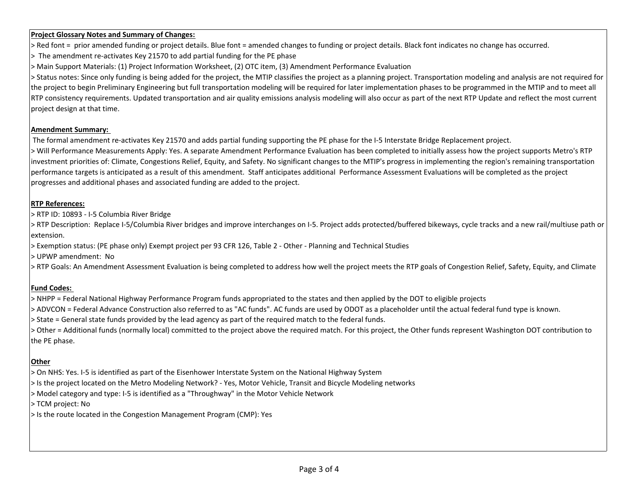#### **Project Glossary Notes and Summary of Changes:**

> Red font <sup>=</sup> prior amended funding or project details. Blue font <sup>=</sup> amended changes to funding or project details. Black font indicates no change has occurred.

> The amendment re‐activates Key 21570 to add partial funding for the PE phase

> Main Support Materials: (1) Project Information Worksheet, (2) OTC item, (3) Amendment Performance Evaluation

> Status notes: Since only funding is being added for the project, the MTIP classifies the project as <sup>a</sup> planning project. Transportation modeling and analysis are not required for the project to begin Preliminary Engineering but full transportation modeling will be required for later implementation phases to be programmed in the MTIP and to meet all RTP consistency requirements. Updated transportation and air quality emissions analysis modeling will also occur as part of the next RTP Update and reflect the most current project design at that time.

#### **Amendment Summary:**

The formal amendment re‐activates Key 21570 and adds partial funding supporting the PE phase for the I‐5 Interstate Bridge Replacement project.

> Will Performance Measurements Apply: Yes. A separate Amendment Performance Evaluation has been completed to initially assess how the project supports Metro's RTP investment priorities of: Climate, Congestions Relief, Equity, and Safety. No significant changes to the MTIP's progress in implementing the region's remaining transportation performance targets is anticipated as <sup>a</sup> result of this amendment. Staff anticipates additional Performance Assessment Evaluations will be completed as the project progresses and additional phases and associated funding are added to the project.

### **RTP References:**

> RTP ID: 10893 ‐ I‐5 Columbia River Bridge

> RTP Description: Replace I‐5/Columbia River bridges and improve interchanges on I‐5. Project adds protected/buffered bikeways, cycle tracks and <sup>a</sup> new rail/multiuse path or extension.

> Exemption status: (PE phase only) Exempt project per 93 CFR 126, Table 2 ‐ Other ‐ Planning and Technical Studies

> UPWP amendment: No

> RTP Goals: An Amendment Assessment Evaluation is being completed to address how well the project meets the RTP goals of Congestion Relief, Safety, Equity, and Climate

## **Fund Codes:**

> NHPP <sup>=</sup> Federal National Highway Performance Program funds appropriated to the states and then applied by the DOT to eligible projects

> ADVCON <sup>=</sup> Federal Advance Construction also referred to as "AC funds". AC funds are used by ODOT as <sup>a</sup> placeholder until the actual federal fund type is known.

> State <sup>=</sup> General state funds provided by the lead agency as part of the required match to the federal funds.

> Other <sup>=</sup> Additional funds (normally local) committed to the project above the required match. For this project, the Other funds represent Washington DOT contribution to the PE phase.

## **Other**

> On NHS: Yes. I‐5 is identified as part of the Eisenhower Interstate System on the National Highway System

> Is the project located on the Metro Modeling Network? ‐ Yes, Motor Vehicle, Transit and Bicycle Modeling networks

> Model category and type: I‐5 is identified as <sup>a</sup> "Throughway" in the Motor Vehicle Network

> TCM project: No

> Is the route located in the Congestion Management Program (CMP): Yes